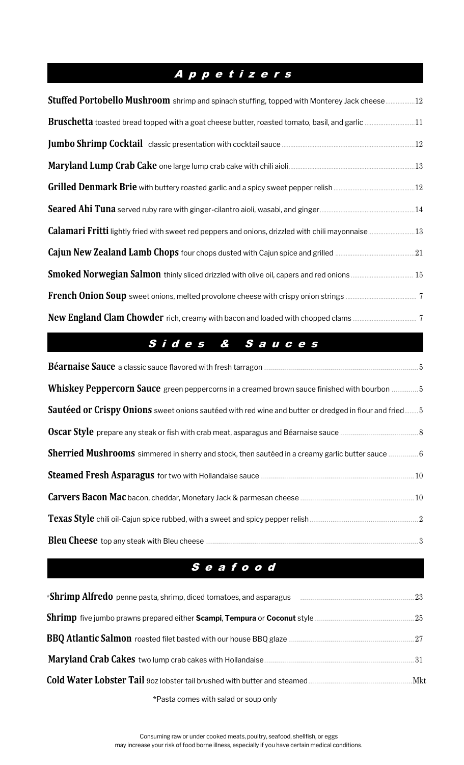# A p p e t i z e r s

| Stuffed Portobello Mushroom shrimp and spinach stuffing, topped with Monterey Jack cheese12            |  |
|--------------------------------------------------------------------------------------------------------|--|
| <b>Bruschetta</b> toasted bread topped with a goat cheese butter, roasted tomato, basil, and garlic 11 |  |
|                                                                                                        |  |
|                                                                                                        |  |
|                                                                                                        |  |
|                                                                                                        |  |
|                                                                                                        |  |
| <b>Cajun New Zealand Lamb Chops</b> four chops dusted with Cajun spice and grilled <b></b> 21          |  |
|                                                                                                        |  |
|                                                                                                        |  |
|                                                                                                        |  |

## S i d <sup>e</sup> <sup>s</sup> & S <sup>a</sup> <sup>u</sup> <sup>c</sup> <sup>e</sup> <sup>s</sup>

| Whiskey Peppercorn Sauce green peppercorns in a creamed brown sauce finished with bourbon 5            |  |
|--------------------------------------------------------------------------------------------------------|--|
| Sautéed or Crispy Onions sweet onions sautéed with red wine and butter or dredged in flour and fried 5 |  |
|                                                                                                        |  |
| <b>Sherried Mushrooms</b> simmered in sherry and stock, then sautéed in a creamy garlic butter sauce 6 |  |
|                                                                                                        |  |
|                                                                                                        |  |
|                                                                                                        |  |
|                                                                                                        |  |

## S e a f o o d

| *Pasta comes with salad or soup only |  |
|--------------------------------------|--|